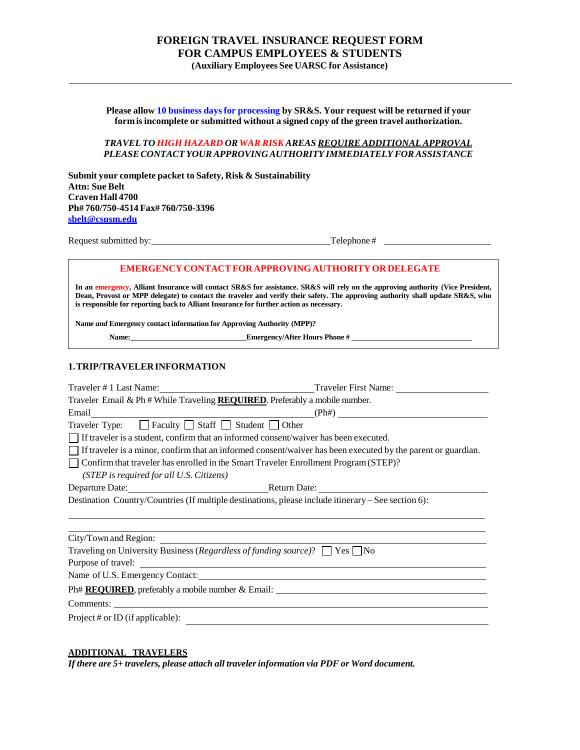# **FOREIGN TRAVEL INSURANCE REQUEST FORM FOR CAMPUS EMPLOYEES & STUDENTS (Auxiliary Employees See UARSC for Assistance)**

**Please allow 10 business daysfor processing by SR&S. Your request will be returned if your formisincomplete or submitted without a signed copy of the green travel authorization.**

#### *TRAVEL TO HIGH HAZARD OR WAR RISK AREAS REQUIRE ADDITIONAL APPROVAL PLEASECONTACT YOURAPPROVING AUTHORITY IMMEDIATELY FORASSISTANCE*

**Submit your complete packet to Safety, Risk & Sustainability Attn: Sue Belt Craven Hall 4700 Ph# 760/750-4514Fax# 760/750-3396 sbelt@csusm.edu**

Request submitted by: Telephone #

## **EMERGENCYCONTACTFOR APPROVINGAUTHORITYOR DELEGATE**

In an emergency, Alliant Insurance will contact SR&S for assistance. SR&S will rely on the approving authority (Vice President, Dean, Provost or MPP delegate) to contact the traveler and verify their safety. The approving authority shall update SR&S, who **is responsible for reporting back to Alliant Insurance for further action as necessary.**

**Name** *and* **Emergency contact information for Approving Authority (MPP)?**

**Name: Emergency/After Hours Phone #** 

#### **1.TRIP/TRAVELERINFORMATION**

| Traveler Email & Ph # While Traveling REQUIRED. Preferably a mobile number.                                         |  |  |
|---------------------------------------------------------------------------------------------------------------------|--|--|
| Email $(Ph#)$                                                                                                       |  |  |
| Traveler Type: $\Box$ Faculty $\Box$ Staff $\Box$ Student $\Box$ Other                                              |  |  |
| $\Box$ If traveler is a student, confirm that an informed consent/waiver has been executed.                         |  |  |
| $\Box$ If traveler is a minor, confirm that an informed consent/waiver has been executed by the parent or guardian. |  |  |
| Confirm that traveler has enrolled in the Smart Traveler Enrollment Program (STEP)?                                 |  |  |
| (STEP is required for all U.S. Citizens)                                                                            |  |  |
| Departure Date: Return Date: Return Date:                                                                           |  |  |
| Destination Country/Countries (If multiple destinations, please include itinerary – See section 6):                 |  |  |
|                                                                                                                     |  |  |
|                                                                                                                     |  |  |
|                                                                                                                     |  |  |
| Traveling on University Business (Regardless of funding source)? $\Box$ Yes $\Box$ No                               |  |  |
| Purpose of travel:                                                                                                  |  |  |
|                                                                                                                     |  |  |
|                                                                                                                     |  |  |
|                                                                                                                     |  |  |
| Project # or ID (if applicable):                                                                                    |  |  |

#### **ADDITIONAL TRAVELERS**

*If there are 5+ travelers, please attach all travelerinformation via PDF or Word document.*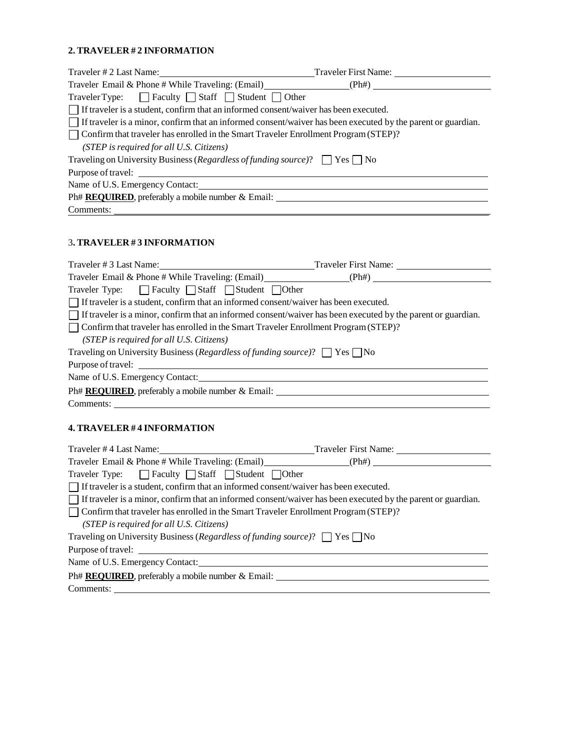## **2. TRAVELER # 2 INFORMATION**

| Traveler Type: $\Box$ Faculty $\Box$ Staff $\Box$ Student $\Box$ Other                                              |  |
|---------------------------------------------------------------------------------------------------------------------|--|
| If traveler is a student, confirm that an informed consent/waiver has been executed.                                |  |
| $\Box$ If traveler is a minor, confirm that an informed consent/waiver has been executed by the parent or guardian. |  |
| $\Box$ Confirm that traveler has enrolled in the Smart Traveler Enrollment Program (STEP)?                          |  |
| (STEP is required for all U.S. Citizens)                                                                            |  |
| Traveling on University Business (Regardless of funding source)? $\Box$ Yes $\Box$ No                               |  |
| Purpose of travel:                                                                                                  |  |
| Name of U.S. Emergency Contact:                                                                                     |  |
| Ph# REQUIRED, preferably a mobile number & Email:                                                                   |  |
| Comments:                                                                                                           |  |

## 3**. TRAVELER # 3 INFORMATION**

| Traveler # 3 Last Name: Traveler First Name:                                                                        |  |
|---------------------------------------------------------------------------------------------------------------------|--|
|                                                                                                                     |  |
| Traveler Type: $\Box$ Faculty $\Box$ Staff $\Box$ Student $\Box$ Other                                              |  |
| $\Box$ If traveler is a student, confirm that an informed consent/waiver has been executed.                         |  |
| $\Box$ If traveler is a minor, confirm that an informed consent/waiver has been executed by the parent or guardian. |  |
| Confirm that traveler has enrolled in the Smart Traveler Enrollment Program (STEP)?                                 |  |
| (STEP is required for all U.S. Citizens)                                                                            |  |
| Traveling on University Business (Regardless of funding source)? $\Box$ Yes $\Box$ No                               |  |
| Purpose of travel:                                                                                                  |  |
|                                                                                                                     |  |
| Ph# <b>REQUIRED</b> , preferably a mobile number & Email:                                                           |  |
| Comments:                                                                                                           |  |
|                                                                                                                     |  |

# **4. TRAVELER # 4 INFORMATION**

|                                                                                                | Traveler #4 Last Name: Traveler First Name:                                                                         |
|------------------------------------------------------------------------------------------------|---------------------------------------------------------------------------------------------------------------------|
|                                                                                                |                                                                                                                     |
| Traveler Type: <b>Faculty Staff</b> Student Other                                              |                                                                                                                     |
| $\Box$ If traveler is a student, confirm that an informed consent/waiver has been executed.    |                                                                                                                     |
|                                                                                                | $\Box$ If traveler is a minor, confirm that an informed consent/waiver has been executed by the parent or guardian. |
| $\vert$ Confirm that traveler has enrolled in the Smart Traveler Enrollment Program (STEP)?    |                                                                                                                     |
| (STEP is required for all U.S. Citizens)                                                       |                                                                                                                     |
| Traveling on University Business ( <i>Regardless of funding source</i> )? $\Box$ Yes $\Box$ No |                                                                                                                     |
|                                                                                                |                                                                                                                     |
| Name of U.S. Emergency Contact:                                                                |                                                                                                                     |
| $Ph# REQUIRED$ , preferably a mobile number $\&$ Email:                                        |                                                                                                                     |
| Comments:                                                                                      |                                                                                                                     |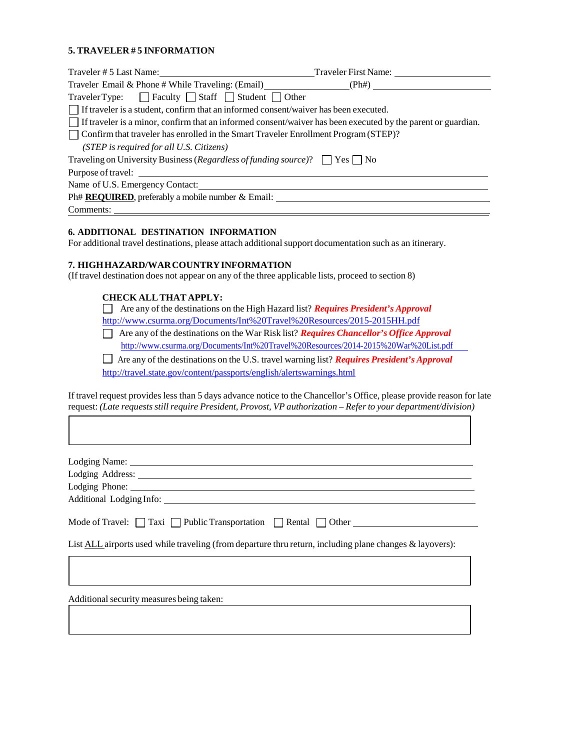## **5. TRAVELER # 5 INFORMATION**

| Traveler # 5 Last Name: Traveler First Name:                                                                             |  |
|--------------------------------------------------------------------------------------------------------------------------|--|
| Traveler Email & Phone # While Traveling: $(Email)$ (Ph+) (Ph+)                                                          |  |
| Traveler Type: $\Box$ Faculty $\Box$ Staff $\Box$ Student $\Box$ Other                                                   |  |
| If traveler is a student, confirm that an informed consent/waiver has been executed.                                     |  |
| $\parallel$ If traveler is a minor, confirm that an informed consent/waiver has been executed by the parent or guardian. |  |
| Confirm that traveler has enrolled in the Smart Traveler Enrollment Program (STEP)?                                      |  |
| (STEP is required for all U.S. Citizens)                                                                                 |  |
| Traveling on University Business (Regardless of funding source)? $\Box$ Yes $\Box$ No                                    |  |
| Purpose of travel:                                                                                                       |  |
| Name of U.S. Emergency Contact:                                                                                          |  |
| Ph# REQUIRED, preferably a mobile number & Email:                                                                        |  |
| Comments:                                                                                                                |  |

### **6. ADDITIONAL DESTINATION INFORMATION**

For additional travel destinations, please attach additional support documentation such as an itinerary.

### **7. HIGHHAZARD/WARCOUNTRYINFORMATION**

(If travel destination does not appear on any of the three applicable lists, proceed to section 8)

### **CHECK ALLTHAT APPLY:**

 Are any of the destinations on the High Hazard list? *Requires President's Approval* <http://www.csurma.org/Documents/Int%20Travel%20Resources/2015-2015HH.pdf>

Are any of the destinations on the War Risk list? *Requires Chancellor's Office Approval* <http://www.csurma.org/Documents/Int%20Travel%20Resources/2014-2015%20War%20List.pdf>

Are any of the destinations on the U.S. travel warning list? *Requires President's Approval* <http://travel.state.gov/content/passports/english/alertswarnings.html>

If travel request provides less than 5 days advance notice to the Chancellor's Office, please provide reason for late request: *(Late requestsstillrequire President, Provost, VP authorization – Referto your department/division)*

| Lodging Phone: 2008                                                                                      |
|----------------------------------------------------------------------------------------------------------|
|                                                                                                          |
| Mode of Travel: $\Box$ Taxi $\Box$ Public Transportation $\Box$ Rental $\Box$ Other                      |
| List ALL airports used while traveling (from departure thru return, including plane changes & layovers): |
|                                                                                                          |
|                                                                                                          |

Additional security measures being taken: